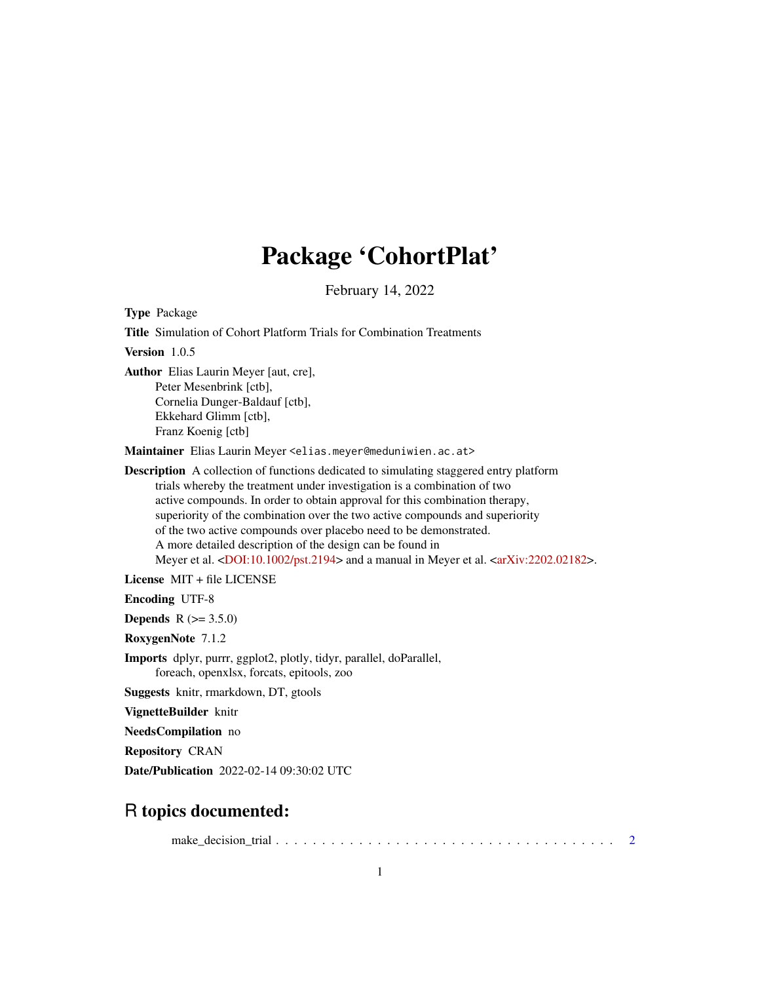## Package 'CohortPlat'

February 14, 2022

Type Package Title Simulation of Cohort Platform Trials for Combination Treatments Version 1.0.5 Author Elias Laurin Meyer [aut, cre], Peter Mesenbrink [ctb], Cornelia Dunger-Baldauf [ctb], Ekkehard Glimm [ctb], Franz Koenig [ctb] Maintainer Elias Laurin Meyer <elias.meyer@meduniwien.ac.at> Description A collection of functions dedicated to simulating staggered entry platform trials whereby the treatment under investigation is a combination of two active compounds. In order to obtain approval for this combination therapy, superiority of the combination over the two active compounds and superiority of the two active compounds over placebo need to be demonstrated. A more detailed description of the design can be found in Meyer et al. [<DOI:10.1002/pst.2194>](https://doi.org/10.1002/pst.2194) and a manual in Meyer et al. [<arXiv:2202.02182>](https://arxiv.org/abs/2202.02182). License MIT + file LICENSE Encoding UTF-8 **Depends**  $R (= 3.5.0)$ RoxygenNote 7.1.2 Imports dplyr, purrr, ggplot2, plotly, tidyr, parallel, doParallel, foreach, openxlsx, forcats, epitools, zoo Suggests knitr, rmarkdown, DT, gtools VignetteBuilder knitr

NeedsCompilation no

Repository CRAN

Date/Publication 2022-02-14 09:30:02 UTC

### R topics documented:

make\_decision\_trial . . . . . . . . . . . . . . . . . . . . . . . . . . . . . . . . . . . . . [2](#page-1-0)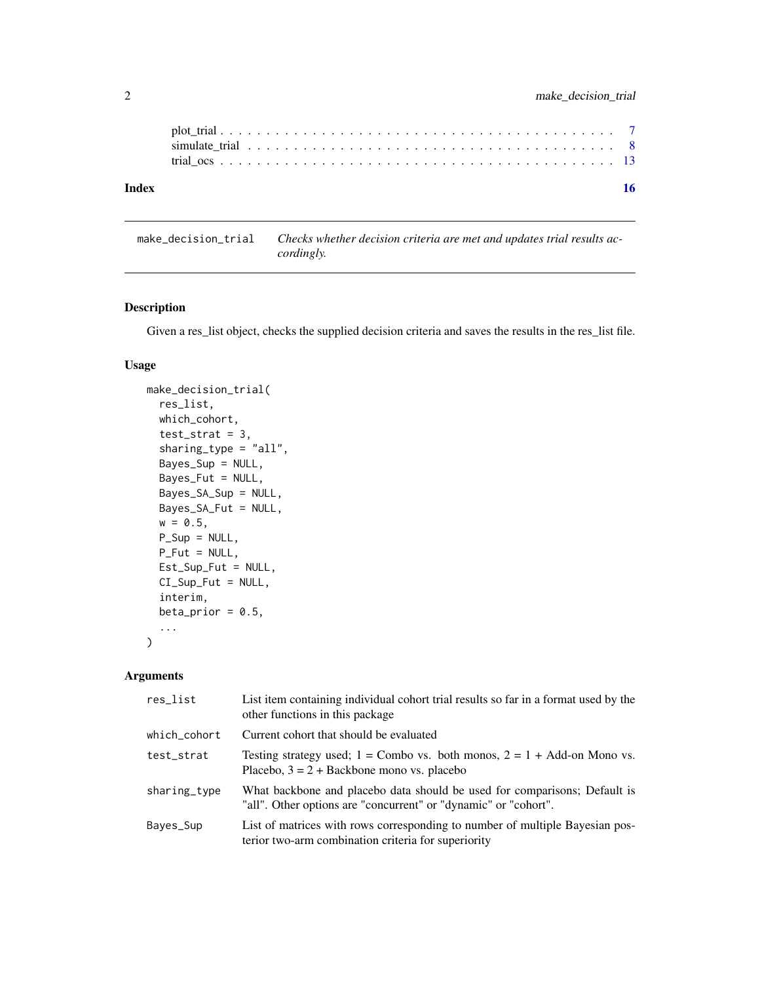<span id="page-1-0"></span>

| Index |  |  |  |  |  |  |  |  |  |  |  |  |  |  |  |  |  |  |
|-------|--|--|--|--|--|--|--|--|--|--|--|--|--|--|--|--|--|--|
|       |  |  |  |  |  |  |  |  |  |  |  |  |  |  |  |  |  |  |
|       |  |  |  |  |  |  |  |  |  |  |  |  |  |  |  |  |  |  |
|       |  |  |  |  |  |  |  |  |  |  |  |  |  |  |  |  |  |  |

make\_decision\_trial *Checks whether decision criteria are met and updates trial results accordingly.*

#### Description

Given a res\_list object, checks the supplied decision criteria and saves the results in the res\_list file.

#### Usage

```
make_decision_trial(
  res_list,
  which_cohort,
  test\_strat = 3,sharing_type = "all",
 Bayes_Sup = NULL,
 Bayes_Fut = NULL,
 Bayes_SA_Sup = NULL,
 Bayes_SA_Fut = NULL,
 w = 0.5,
 P_Sup = NULL,
 P_Fut = NULL,
 Est_Sup_Fut = NULL,
 CI_Sup_Fut = NULL,
  interim,
 beta_prior = 0.5,
  ...
\mathcal{L}
```
#### Arguments

| res_list     | List item containing individual cohort trial results so far in a format used by the<br>other functions in this package                       |
|--------------|----------------------------------------------------------------------------------------------------------------------------------------------|
| which_cohort | Current cohort that should be evaluated                                                                                                      |
| test_strat   | Testing strategy used; $1 =$ Combo vs. both monos, $2 = 1 +$ Add-on Mono vs.<br>Placebo, $3 = 2 +$ Backbone mono vs. placebo                 |
| sharing_type | What backbone and placebo data should be used for comparisons; Default is<br>"all". Other options are "concurrent" or "dynamic" or "cohort". |
| Bayes_Sup    | List of matrices with rows corresponding to number of multiple Bayesian pos-<br>terior two-arm combination criteria for superiority          |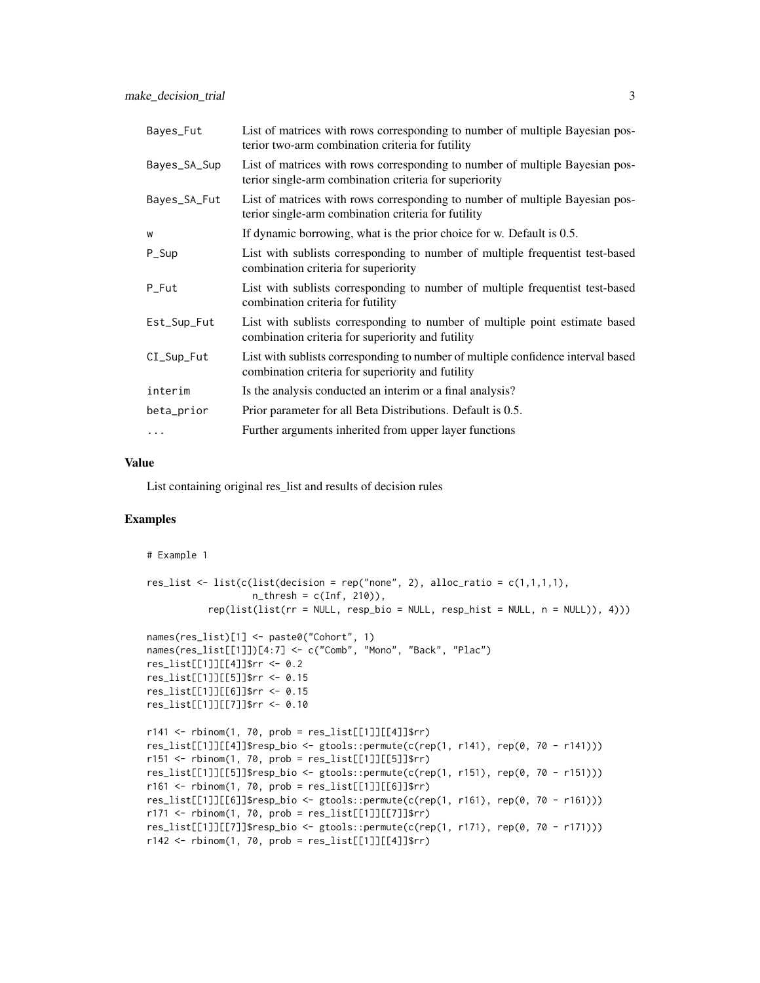| Bayes_Fut    | List of matrices with rows corresponding to number of multiple Bayesian pos-<br>terior two-arm combination criteria for futility       |
|--------------|----------------------------------------------------------------------------------------------------------------------------------------|
| Bayes_SA_Sup | List of matrices with rows corresponding to number of multiple Bayesian pos-<br>terior single-arm combination criteria for superiority |
| Bayes_SA_Fut | List of matrices with rows corresponding to number of multiple Bayesian pos-<br>terior single-arm combination criteria for futility    |
| W            | If dynamic borrowing, what is the prior choice for w. Default is 0.5.                                                                  |
| P_Sup        | List with sublists corresponding to number of multiple frequentist test-based<br>combination criteria for superiority                  |
| P_Fut        | List with sublists corresponding to number of multiple frequentist test-based<br>combination criteria for futility                     |
| Est_Sup_Fut  | List with sublists corresponding to number of multiple point estimate based<br>combination criteria for superiority and futility       |
| CI_Sup_Fut   | List with sublists corresponding to number of multiple confidence interval based<br>combination criteria for superiority and futility  |
| interim      | Is the analysis conducted an interim or a final analysis?                                                                              |
| beta_prior   | Prior parameter for all Beta Distributions. Default is 0.5.                                                                            |
| $\cdots$     | Further arguments inherited from upper layer functions                                                                                 |

#### Value

List containing original res\_list and results of decision rules

```
# Example 1
res_list <- list(c(list(decision = rep("none", 2), alloc_ratio = c(1,1,1,1),
                   n_{\text{thresh}} = c(\text{Inf}, 210),
           rep(list(list(rr = NULL, resp_bio = NULL, resp_hist = NULL, n = NULL)), 4)))
names(res_list)[1] <- paste0("Cohort", 1)
names(res_list[[1]])[4:7] <- c("Comb", "Mono", "Back", "Plac")
res_list[[1]][[4]]$rr <- 0.2
res_list[[1]][[5]]$rr <- 0.15
res_list[[1]][[6]]$rr <- 0.15
res_list[[1]][[7]]$rr <- 0.10
r141 <- rbinom(1, 70, prob = res_list[[1]][[4]]$rr)res_list[[1]][[4]]$resp_bio <- gtools::permute(c(rep(1, r141), rep(0, 70 - r141)))
r151 <- rbinom(1, 70, prob = res_list[1]][5]]$rr)
res_list[[1]][[5]]$resp_bio <- gtools::permute(c(rep(1, r151), rep(0, 70 - r151)))
r161 <- rbinom(1, 70, prob = res_list[1]][6]]$rr)
res_list[[1]][[6]]$resp_bio <- gtools::permute(c(rep(1, r161), rep(0, 70 - r161)))
r171 <- rbinom(1, 70, prob = res_list[1]][7]]$rr)
res_list[[1]][[7]]$resp_bio <- gtools::permute(c(rep(1, r171), rep(0, 70 - r171)))
r142 \leq rbinom(1, 70, prob = res_list[[1]][[4]]$rr)
```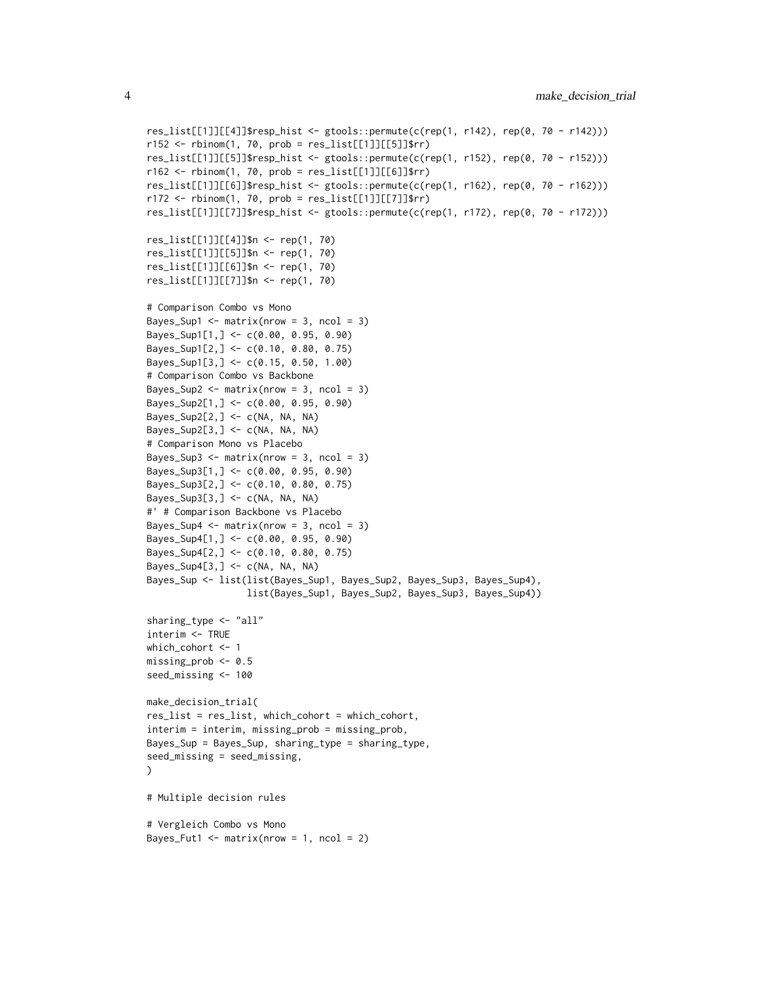```
res_list[[1]][[4]]$resp_hist <- gtools::permute(c(rep(1, r142), rep(0, 70 - r142)))
r152 \le rbinom{1, 70, prob = res_list[1]][5]]$rr)
res_list[[1]][[5]]$resp_hist <- gtools::permute(c(rep(1, r152), rep(0, 70 - r152)))
r162 \le rbinom{1, 70, prob = res_list[1]][6]]$rr)
res_list[[1]][[6]]$resp_hist <- gtools::permute(c(rep(1, r162), rep(0, 70 - r162)))
r172 < - rbinom(1, 70, prob = res\_list[[1]][[7]]$rr)res_list[[1]][[7]]$resp_hist <- gtools::permute(c(rep(1, r172), rep(0, 70 - r172)))
res_list[[1]][[4]]$n <- rep(1, 70)
res_list[[1]][[5]]$n <- rep(1, 70)
res_list[[1]][[6]]$n <- rep(1, 70)
res_list[[1]][[7]]$n <- rep(1, 70)
# Comparison Combo vs Mono
Bayes_Sup1 \leq matrix(nrow = 3, ncol = 3)
Bayes_Sup1[1,] <- c(0.00, 0.95, 0.90)
Bayes_Sup1[2,] <- c(0.10, 0.80, 0.75)
Bayes_Sup1[3,] <- c(0.15, 0.50, 1.00)
# Comparison Combo vs Backbone
Bayes_Sup2 \leq matrix(nrow = 3, ncol = 3)
Bayes_Sup2[1,] <- c(0.00, 0.95, 0.90)
Bayes_Sup2[2,] <- c(NA, NA, NA)
Bayes_Sup2[3,] <- c(NA, NA, NA)
# Comparison Mono vs Placebo
Bayes_Sup3 <- matrix(nrow = 3, ncol = 3)
Bayes_Sup3[1,] <- c(0.00, 0.95, 0.90)
Bayes_Sup3[2,] <- c(0.10, 0.80, 0.75)
Bayes_Sup3[3,] <- c(NA, NA, NA)
#' # Comparison Backbone vs Placebo
Bayes_Sup4 \leq matrix(nrow = 3, ncol = 3)
Bayes_Sup4[1,] <- c(0.00, 0.95, 0.90)
Bayes_Sup4[2,] <- c(0.10, 0.80, 0.75)
Bayes_Sup4[3,] <- c(NA, NA, NA)
Bayes_Sup <- list(list(Bayes_Sup1, Bayes_Sup2, Bayes_Sup3, Bayes_Sup4),
                  list(Bayes_Sup1, Bayes_Sup2, Bayes_Sup3, Bayes_Sup4))
sharing_type <- "all"
interim <- TRUE
which_cohort <- 1
missing_prob <- 0.5
seed_missing <- 100
make_decision_trial(
res_list = res_list, which_cohort = which_cohort,
interim = interim, missing_prob = missing_prob,
Bayes_Sup = Bayes_Sup, sharing_type = sharing_type,
seed_missing = seed_missing,
\lambda# Multiple decision rules
# Vergleich Combo vs Mono
Bayes_Fut1 <- matrix(nrow = 1, ncol = 2)
```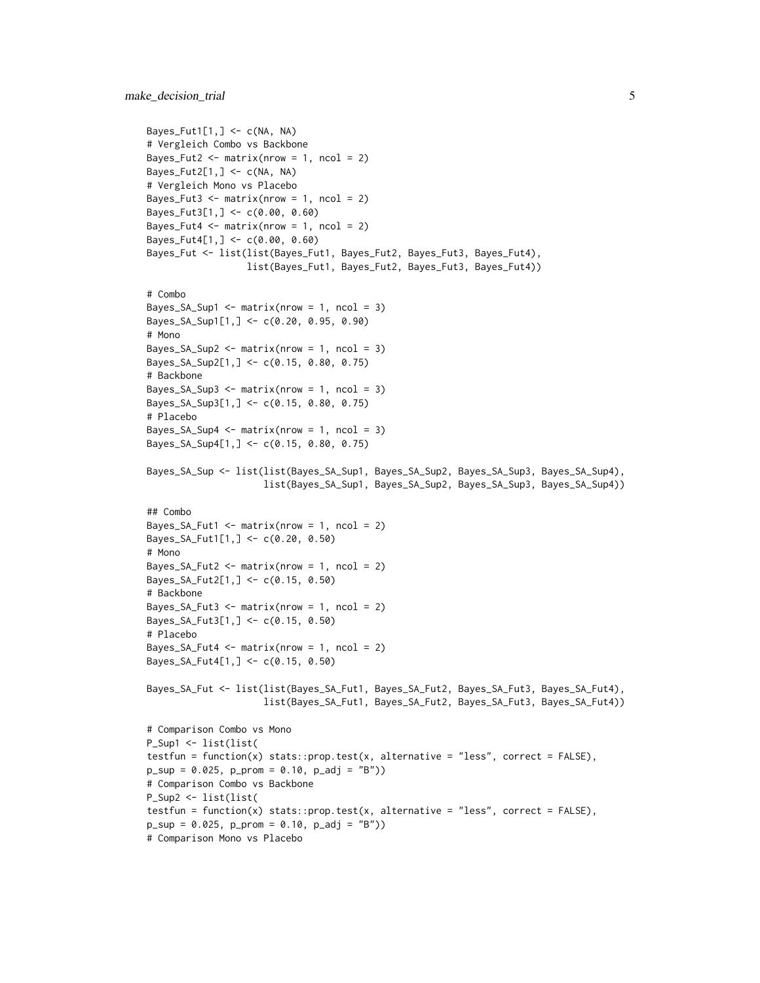```
Bayes_Fut1[1,] \leq c(NA, NA)
# Vergleich Combo vs Backbone
Bayes_Fut2 \leftarrow matrix(nrow = 1, ncol = 2)
Bayes_Fut2[1,] \leq c(NA, NA)
# Vergleich Mono vs Placebo
Bayes_Fut3 \leq matrix(nrow = 1, ncol = 2)
Bayes_Fut3[1,] <- c(0.00, 0.60)
Bayes_Fut4 \leq matrix(nrow = 1, ncol = 2)
Bayes_Fut4[1,] <- c(0.00, 0.60)
Bayes_Fut <- list(list(Bayes_Fut1, Bayes_Fut2, Bayes_Fut3, Bayes_Fut4),
                  list(Bayes_Fut1, Bayes_Fut2, Bayes_Fut3, Bayes_Fut4))
# Combo
Bayes_SA_Sup1 <- matrix(nrow = 1, ncol = 3)Bayes_SA_Sup1[1,] <- c(0.20, 0.95, 0.90)
# Mono
Bayes_SA_Sup2 <- matrix(nrow = 1, ncol = 3)
Bayes_SA_Sup2[1,] <- c(0.15, 0.80, 0.75)
# Backbone
Bayes_SA_Sup3 <- matrix(nrow = 1, ncol = 3)
Bayes_SA_Sup3[1,] <- c(0.15, 0.80, 0.75)
# Placebo
Bayes_SA_Sup4 <- matrix(nrow = 1, ncol = 3)
Bayes_SA_Sup4[1,] <- c(0.15, 0.80, 0.75)
Bayes_SA_Sup <- list(list(Bayes_SA_Sup1, Bayes_SA_Sup2, Bayes_SA_Sup3, Bayes_SA_Sup4),
                     list(Bayes_SA_Sup1, Bayes_SA_Sup2, Bayes_SA_Sup3, Bayes_SA_Sup4))
## Combo
Bayes_SA_Fut1 <- matrix(nrow = 1, ncol = 2)
Bayes_SA_Fut1[1,] <- c(0.20, 0.50)# Mono
Bayes_SA_Fut2 <- matrix(nrow = 1, ncol = 2)
Bayes_SA_Fut2[1,] <- c(0.15, 0.50)
# Backbone
Bayes_SA_Fut3 <- matrix(nrow = 1, ncol = 2)
Bayes_SA_Fut3[1,] <- c(0.15, 0.50)
# Placebo
Bayes_SA_Fut4 <- matrix(nrow = 1, ncol = 2)
Bayes_SA_Fut4[1,] <- c(0.15, 0.50)
Bayes_SA_Fut <- list(list(Bayes_SA_Fut1, Bayes_SA_Fut2, Bayes_SA_Fut3, Bayes_SA_Fut4),
                     list(Bayes_SA_Fut1, Bayes_SA_Fut2, Bayes_SA_Fut3, Bayes_SA_Fut4))
# Comparison Combo vs Mono
P_Sup1 <- list(list(
testfun = function(x) stats::prop.test(x, alternative = "less", correct = FALSE),
p\_sup = 0.025, p\_prom = 0.10, p\_adj = "B")# Comparison Combo vs Backbone
P_Sup2 <- list(list(
testfun = function(x) stats::prop.test(x, alternative = "less", correct = FALSE),
p\_sup = 0.025, p\_prom = 0.10, p\_adj = "B")# Comparison Mono vs Placebo
```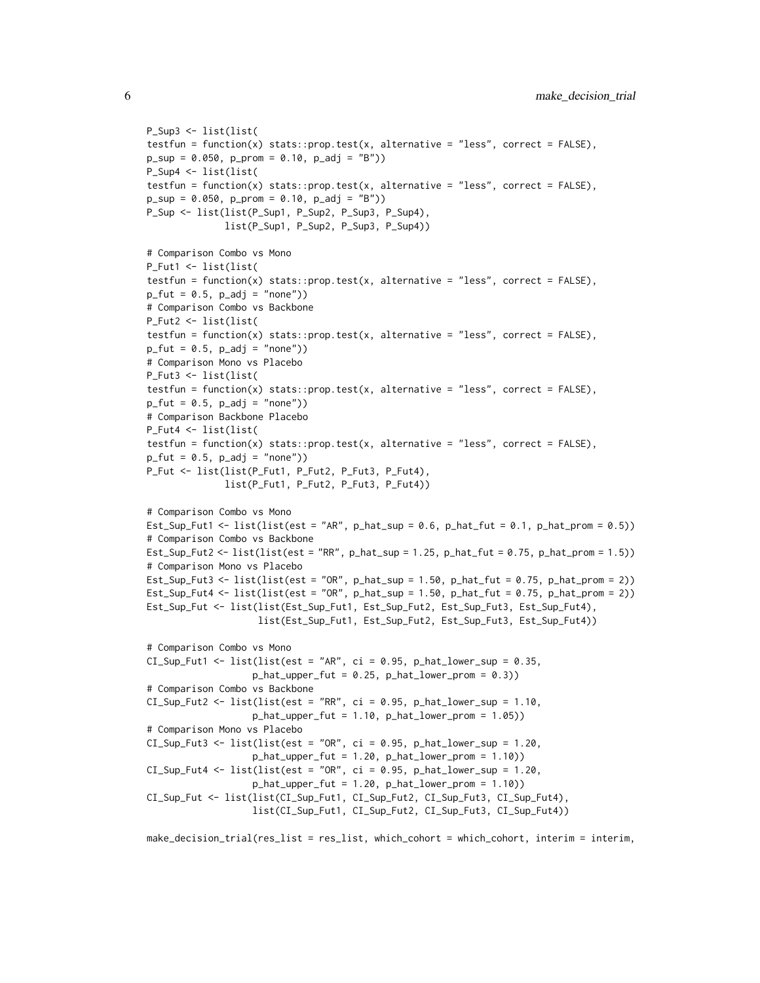```
P_Sup3 <- list(list(
testfun = function(x) stats::prop.test(x, alternative = "less", correct = FALSE),
p\_sup = 0.050, p\_prom = 0.10, p\_adj = "B")P_Sup4 <- list(list(
testfun = function(x) stats::prop.test(x, alternative = "less", correct = FALSE),
p\_sup = 0.050, p\_prom = 0.10, p\_adj = "B")P_Sup <- list(list(P_Sup1, P_Sup2, P_Sup3, P_Sup4),
              list(P_Sup1, P_Sup2, P_Sup3, P_Sup4))
# Comparison Combo vs Mono
P_Fut1 <- list(list(
testfun = function(x) stats::prop.test(x, alternative = "less", correct = FALSE),
p_fut = 0.5, p_adf = "none")# Comparison Combo vs Backbone
P_Fut2 <- list(list(
testfun = function(x) stats::prop.test(x, alternative = "less", correct = FALSE),
p_fut = 0.5, p_adf = "none")# Comparison Mono vs Placebo
P_Fut3 <- list(list(
testfun = function(x) stats::prop.test(x, alternative = "less", correct = FALSE),
p_fut = 0.5, p_adf = "none")# Comparison Backbone Placebo
P_Fut4 <- list(list(
testfun = function(x) stats::prop.test(x, alternative = "less", correct = FALSE),
p_fut = 0.5, p_adf = "none")P_Fut <- list(list(P_Fut1, P_Fut2, P_Fut3, P_Fut4),
              list(P_Fut1, P_Fut2, P_Fut3, P_Fut4))
# Comparison Combo vs Mono
Est_Sup_Fut1 <- list(list(est = "AR", p_hat_sup = 0.6, p_hat_fut = 0.1, p_hat_prom = 0.5))
# Comparison Combo vs Backbone
Est_Sup_Fut2 <- list(list(est = "RR", p_hat_sup = 1.25, p_hat_fut = 0.75, p_hat_prom = 1.5))
# Comparison Mono vs Placebo
Est_Sup_Fut3 <- list(list(est = "OR", p_hat_sup = 1.50, p_hat_fut = 0.75, p_hat_prom = 2))
Est_Sup_Fut4 <- list(list(est = "OR", p_hat_sup = 1.50, p_hat_fut = 0.75, p_hat_prom = 2))
Est_Sup_Fut <- list(list(Est_Sup_Fut1, Est_Sup_Fut2, Est_Sup_Fut3, Est_Sup_Fut4),
                    list(Est_Sup_Fut1, Est_Sup_Fut2, Est_Sup_Fut3, Est_Sup_Fut4))
# Comparison Combo vs Mono
CI\_Sup\_Fut1 \leq list(list(est = "AR", ci = 0.95, p_hat\_lower\_sup = 0.35,p_{hat\_upper\_fut} = 0.25, p_{hat\_lower\_prom} = 0.3)
# Comparison Combo vs Backbone
CI_Sup_Fut2 \leq list(list(est = "RR", ci = 0.95, p_hat_lower_sup = 1.10,p_{hat\_upper\_fut} = 1.10, p_{hat\_lower\_prom} = 1.05)# Comparison Mono vs Placebo
CI\_Sup\_Fut3 \leq list(list(est = "OR", ci = 0.95, p_hat\_lower\_sup = 1.20,p_{hat\_upper\_fut} = 1.20, p_{hat\_lower\_prom} = 1.10)
CI\_Sup\_Fut4 \leq list(list(est = "OR", ci = 0.95, p_hat_lower_sum = 1.20,p_hat_upper_fut = 1.20, p_hat_lower_prom = 1.10))
CI_Sup_Fut <- list(list(CI_Sup_Fut1, CI_Sup_Fut2, CI_Sup_Fut3, CI_Sup_Fut4),
                   list(CI_Sup_Fut1, CI_Sup_Fut2, CI_Sup_Fut3, CI_Sup_Fut4))
```
make\_decision\_trial(res\_list = res\_list, which\_cohort = which\_cohort, interim = interim,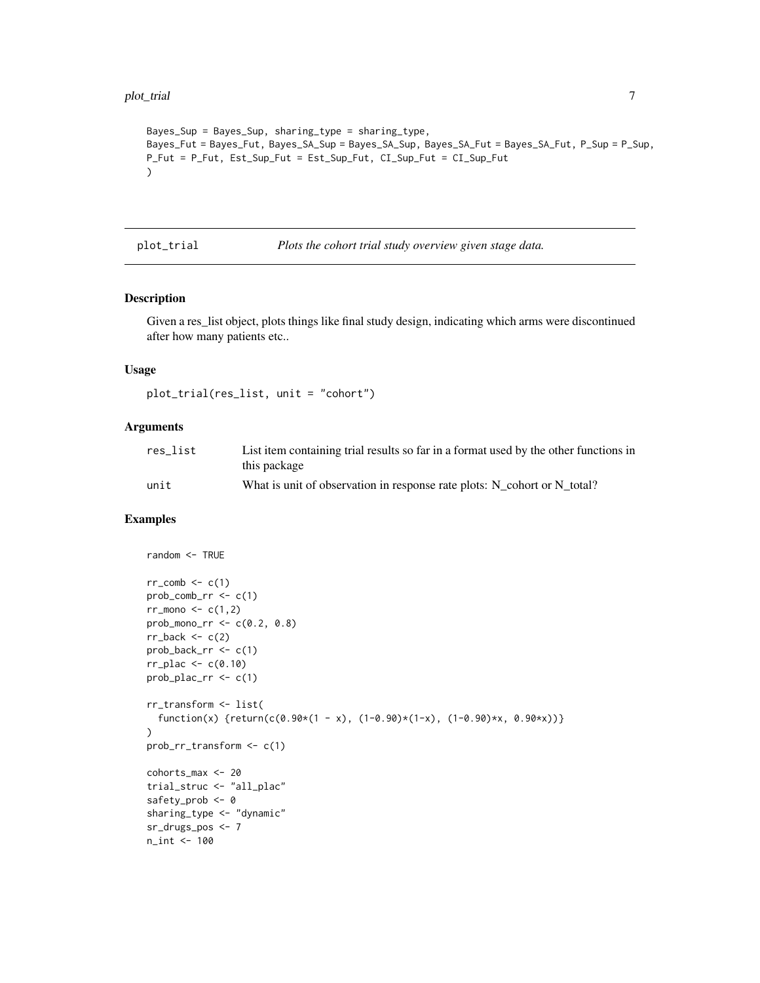#### <span id="page-6-0"></span>plot\_trial 7

```
Bayes_Sup = Bayes_Sup, sharing_type = sharing_type,
Bayes_Fut = Bayes_Fut, Bayes_SA_Sup = Bayes_SA_Sup, Bayes_SA_Fut = Bayes_SA_Fut, P_Sup = P_Sup,
P_Fut = P_Fut, Est_Sup_Fut = Est_Sup_Fut, CI_Sup_Fut = CI_Sup_Fut
\lambda
```
plot\_trial *Plots the cohort trial study overview given stage data.*

#### Description

Given a res\_list object, plots things like final study design, indicating which arms were discontinued after how many patients etc..

#### Usage

plot\_trial(res\_list, unit = "cohort")

#### Arguments

| res list | List item containing trial results so far in a format used by the other functions in<br>this package |
|----------|------------------------------------------------------------------------------------------------------|
| unit     | What is unit of observation in response rate plots: N cohort or N total?                             |

```
random <- TRUE
rr\_comb \leq c(1)prob_{conv}r \leq c(1)rr_{\text{mono}} \leftarrow c(1,2)prob_mono_rr <- c(0.2, 0.8)
rr\_back < -c(2)prob_back_rr <- c(1)
rr\_place \leftarrow c(0.10)prob_plac_rr <- c(1)
rr_transform <- list(
  function(x) {return(c(0.90*(1 - x), (1-0.90)*(1-x), (1-0.90)*x, 0.90*x))}
\mathcal{L}prob_rr_transform <- c(1)
cohorts_max <- 20
trial_struc <- "all_plac"
safety_prob <- 0
sharing_type <- "dynamic"
sr_drugs_pos <- 7
n_int <- 100
```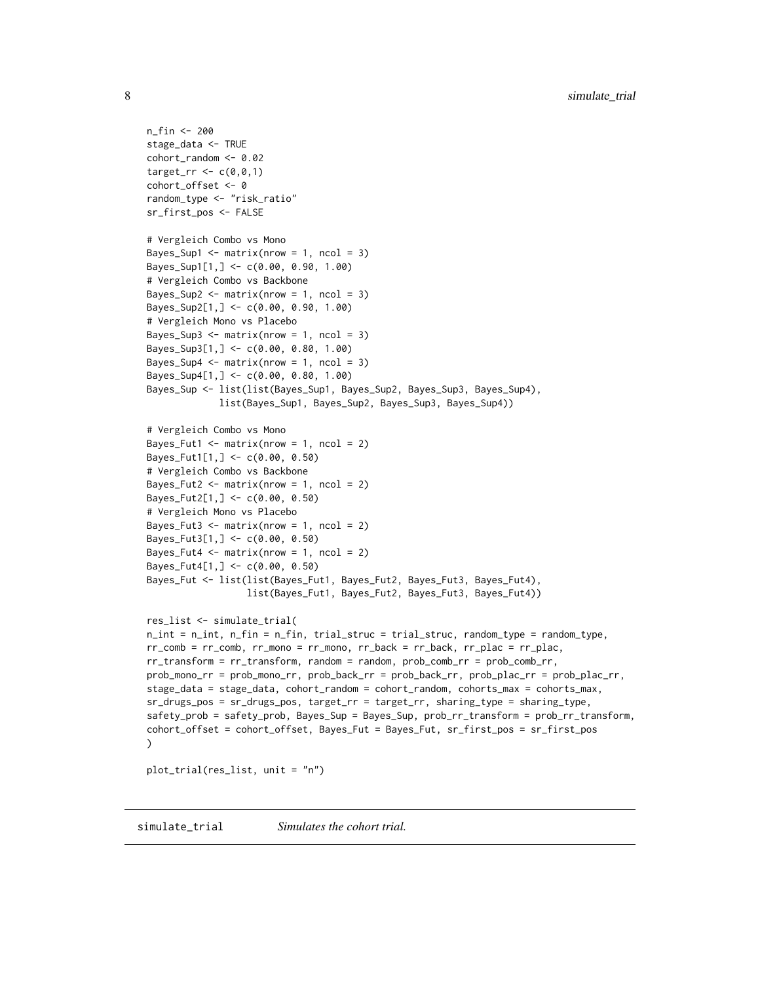```
n_fin <- 200
stage_data <- TRUE
cohort_random <- 0.02
target_rr <-c(0,0,1)cohort_offset <- 0
random_type <- "risk_ratio"
sr_first_pos <- FALSE
# Vergleich Combo vs Mono
Bayes_Sup1 <- matrix(nrow = 1, ncol = 3)
Bayes_Sup1[1,] <- c(0.00, 0.90, 1.00)
# Vergleich Combo vs Backbone
Bayes_Sup2 <- matrix(nrow = 1, ncol = 3)
Bayes_Sup2[1,] <- c(0.00, 0.90, 1.00)
# Vergleich Mono vs Placebo
Bayes_Sup3 \leq matrix(nrow = 1, ncol = 3)
Bayes_Sup3[1,] <- c(0.00, 0.80, 1.00)
Bayes_Sup4 \leq matrix(nrow = 1, ncol = 3)
Bayes_Sup4[1,] <- c(0.00, 0.80, 1.00)
Bayes_Sup <- list(list(Bayes_Sup1, Bayes_Sup2, Bayes_Sup3, Bayes_Sup4),
             list(Bayes_Sup1, Bayes_Sup2, Bayes_Sup3, Bayes_Sup4))
# Vergleich Combo vs Mono
Bayes_Fut1 <- matrix(nrow = 1, ncol = 2)
Bayes_Fut1[1,] <- c(0.00, 0.50)# Vergleich Combo vs Backbone
Bayes_Fut2 \leq matrix(nrow = 1, ncol = 2)
Bayes_Fut2[1,] <- c(0.00, 0.50)
# Vergleich Mono vs Placebo
Bayes_Fut3 <- matrix(nrow = 1, ncol = 2)
Bayes_Fut3[1,] <- c(0.00, 0.50)
Bayes_Fut4 \leq matrix(nrow = 1, ncol = 2)
Bayes_Fut4[1,] <- c(0.00, 0.50)
Bayes_Fut <- list(list(Bayes_Fut1, Bayes_Fut2, Bayes_Fut3, Bayes_Fut4),
                  list(Bayes_Fut1, Bayes_Fut2, Bayes_Fut3, Bayes_Fut4))
res_list <- simulate_trial(
n_int = n_int, n_fin = n_fin, trial_struc = trial_struc, random_type = random_type,
rr_comb = rr_comb, rr_mono = rr_mono, rr_back = rr_back, rr_plac = rr_plac,
rr_transform = rr_transform, random = random, prob_comb_rr = prob_comb_rr,
prob_mono_rr = prob_mono_rr, prob_back_rr = prob_back_rr, prob_plac_rr = prob_plac_rr,
stage_data = stage_data, cohort_random = cohort_random, cohorts_max = cohorts_max,
sr_drugs_pos = sr_drugs_pos, target_rr = target_rr, sharing_type = sharing_type,
safety_prob = safety_prob, Bayes_Sup = Bayes_Sup, prob_rr_transform = prob_rr_transform,
cohort_offset = cohort_offset, Bayes_Fut = Bayes_Fut, sr_first_pos = sr_first_pos
\lambdaplot_trial(res_list, unit = "n")
```
simulate\_trial *Simulates the cohort trial.*

<span id="page-7-0"></span>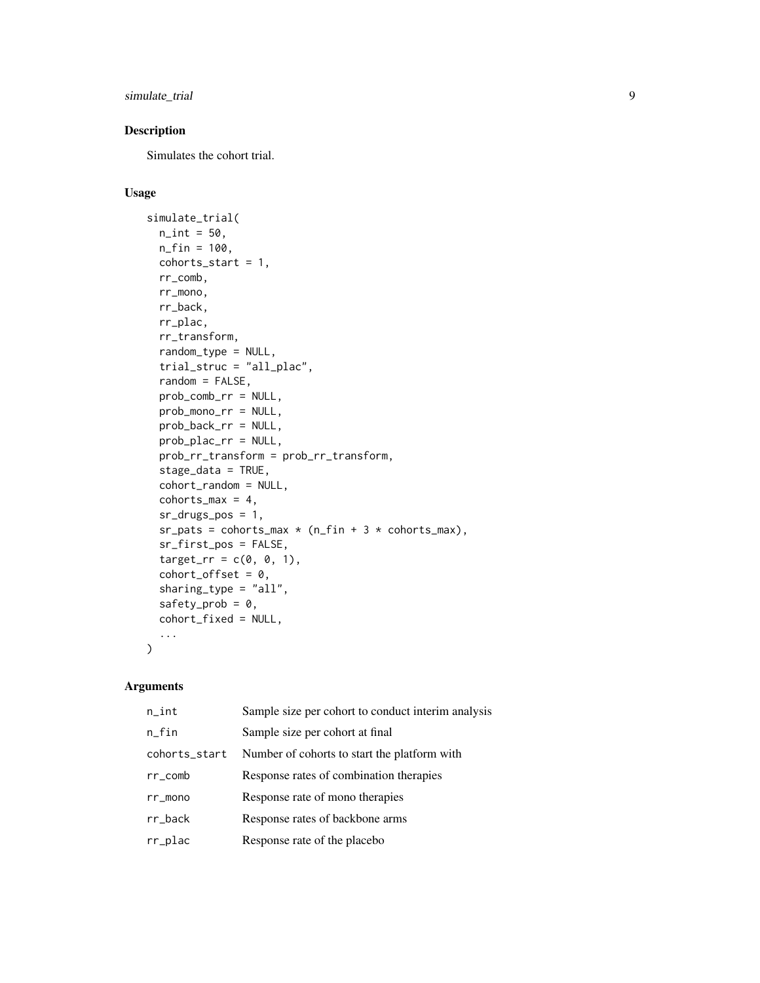simulate\_trial 9

#### Description

Simulates the cohort trial.

#### Usage

```
simulate_trial(
 n_{\text{int}} = 50,
 n_{f}in = 100,
  cohorts_start = 1,
  rr_comb,
  rr_mono,
  rr_back,
 rr_plac,
  rr_transform,
  random_type = NULL,
  trial_struc = "all_plac",
  random = FALSE,
 prob_comb_rr = NULL,
 prob_mono_rr = NULL,
  prob_back_rr = NULL,
 prob_plac_rr = NULL,
 prob_rr_transform = prob_rr_transform,
  stage_data = TRUE,
  cohort_random = NULL,
  cohorts_max = 4,
  sr_drugs_pos = 1,
  sr_pats = cohorts_max * (n_fn + 3 * cohorts_max),sr_first_pos = FALSE,
  target\_rr = c(0, 0, 1),cohort_ofset = 0,sharing_type = "all",
  safety_prob = 0,
  cohort_fixed = NULL,
  ...
\mathcal{L}
```
#### Arguments

| $n$ _int      | Sample size per cohort to conduct interim analysis |
|---------------|----------------------------------------------------|
| $n_{f}$ in    | Sample size per cohort at final                    |
| cohorts_start | Number of cohorts to start the platform with       |
| $rr\_comb$    | Response rates of combination therapies            |
| $rr_m$ mono   | Response rate of mono therapies                    |
| $rr_b$ ack    | Response rates of backbone arms                    |
| rr_plac       | Response rate of the placebo                       |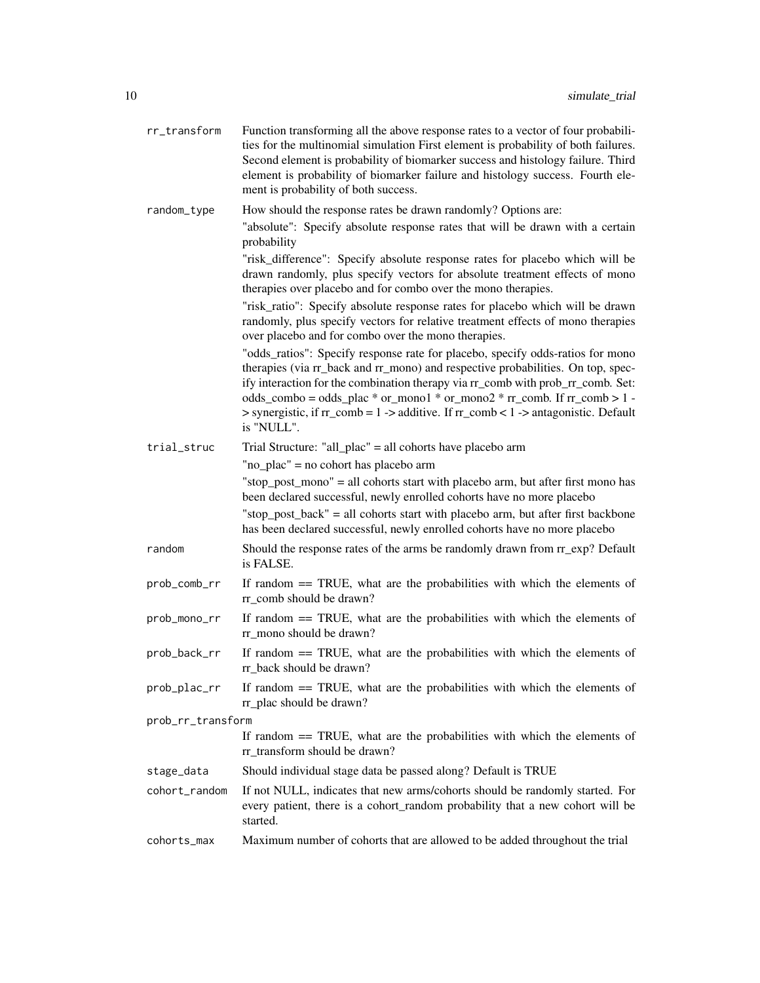| rr_transform      | Function transforming all the above response rates to a vector of four probabili-<br>ties for the multinomial simulation First element is probability of both failures.<br>Second element is probability of biomarker success and histology failure. Third<br>element is probability of biomarker failure and histology success. Fourth ele-<br>ment is probability of both success.                                                        |
|-------------------|---------------------------------------------------------------------------------------------------------------------------------------------------------------------------------------------------------------------------------------------------------------------------------------------------------------------------------------------------------------------------------------------------------------------------------------------|
| random_type       | How should the response rates be drawn randomly? Options are:<br>"absolute": Specify absolute response rates that will be drawn with a certain                                                                                                                                                                                                                                                                                              |
|                   | probability                                                                                                                                                                                                                                                                                                                                                                                                                                 |
|                   | "risk_difference": Specify absolute response rates for placebo which will be<br>drawn randomly, plus specify vectors for absolute treatment effects of mono<br>therapies over placebo and for combo over the mono therapies.                                                                                                                                                                                                                |
|                   | "risk_ratio": Specify absolute response rates for placebo which will be drawn<br>randomly, plus specify vectors for relative treatment effects of mono therapies<br>over placebo and for combo over the mono therapies.                                                                                                                                                                                                                     |
|                   | "odds_ratios": Specify response rate for placebo, specify odds-ratios for mono<br>therapies (via rr_back and rr_mono) and respective probabilities. On top, spec-<br>ify interaction for the combination therapy via rr_comb with prob_rr_comb. Set:<br>odds_combo = odds_plac * or_mono1 * or_mono2 * $rr\_comb$ . If $rr\_comb > 1$ -<br>> synergistic, if rr_comb = 1 -> additive. If rr_comb < 1 -> antagonistic. Default<br>is "NULL". |
| trial_struc       | Trial Structure: "all_plac" = all cohorts have placebo arm                                                                                                                                                                                                                                                                                                                                                                                  |
|                   | "no_plac" = no cohort has placebo arm                                                                                                                                                                                                                                                                                                                                                                                                       |
|                   | "stop_post_mono" = all cohorts start with placebo arm, but after first mono has<br>been declared successful, newly enrolled cohorts have no more placebo                                                                                                                                                                                                                                                                                    |
|                   | "stop_post_back" = all cohorts start with placebo arm, but after first backbone<br>has been declared successful, newly enrolled cohorts have no more placebo                                                                                                                                                                                                                                                                                |
| random            | Should the response rates of the arms be randomly drawn from rr_exp? Default<br>is FALSE.                                                                                                                                                                                                                                                                                                                                                   |
| prob_comb_rr      | If random $==$ TRUE, what are the probabilities with which the elements of<br>rr_comb should be drawn?                                                                                                                                                                                                                                                                                                                                      |
| prob_mono_rr      | If random $==$ TRUE, what are the probabilities with which the elements of<br>rr_mono should be drawn?                                                                                                                                                                                                                                                                                                                                      |
| prob_back_rr      | If random $==$ TRUE, what are the probabilities with which the elements of<br>rr back should be drawn?                                                                                                                                                                                                                                                                                                                                      |
| prob_plac_rr      | If random == TRUE, what are the probabilities with which the elements of<br>rr_plac should be drawn?                                                                                                                                                                                                                                                                                                                                        |
| prob_rr_transform |                                                                                                                                                                                                                                                                                                                                                                                                                                             |
|                   | If random $==$ TRUE, what are the probabilities with which the elements of<br>rr_transform should be drawn?                                                                                                                                                                                                                                                                                                                                 |
| stage_data        | Should individual stage data be passed along? Default is TRUE                                                                                                                                                                                                                                                                                                                                                                               |
| cohort_random     | If not NULL, indicates that new arms/cohorts should be randomly started. For<br>every patient, there is a cohort_random probability that a new cohort will be<br>started.                                                                                                                                                                                                                                                                   |
| cohorts_max       | Maximum number of cohorts that are allowed to be added throughout the trial                                                                                                                                                                                                                                                                                                                                                                 |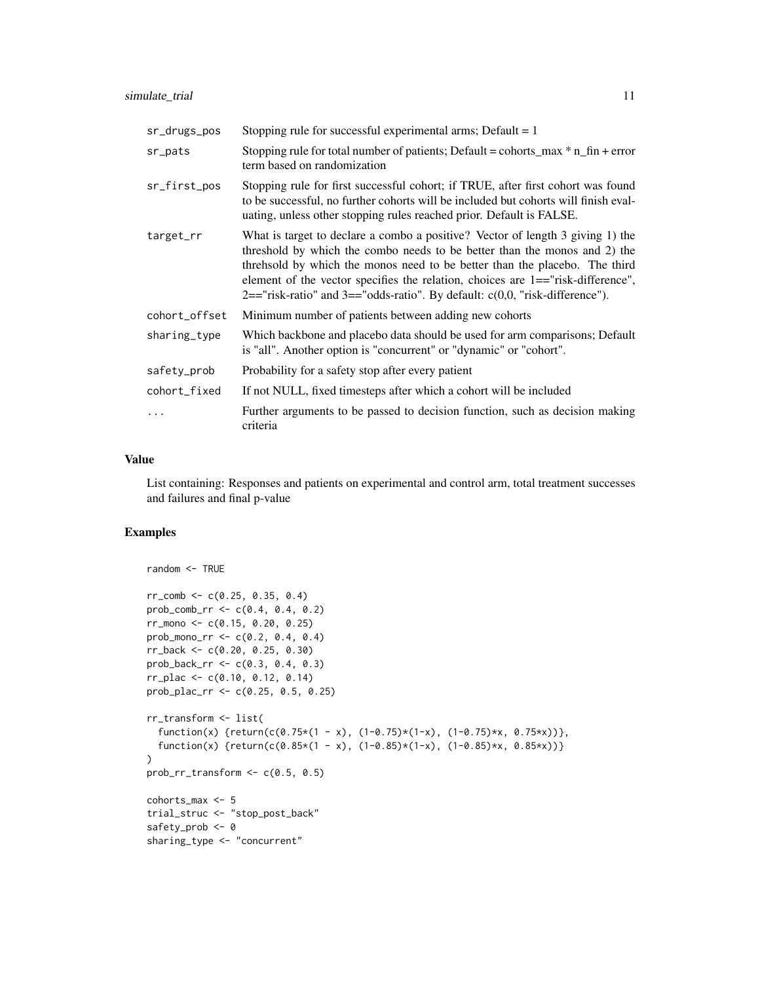| sr_drugs_pos  | Stopping rule for successful experimental arms; Default $= 1$                                                                                                                                                                                                                                                                                                                                                           |
|---------------|-------------------------------------------------------------------------------------------------------------------------------------------------------------------------------------------------------------------------------------------------------------------------------------------------------------------------------------------------------------------------------------------------------------------------|
| sr_pats       | Stopping rule for total number of patients; Default = cohorts_max $*$ n_fin + error<br>term based on randomization                                                                                                                                                                                                                                                                                                      |
| sr_first_pos  | Stopping rule for first successful cohort; if TRUE, after first cohort was found<br>to be successful, no further cohorts will be included but cohorts will finish eval-<br>uating, unless other stopping rules reached prior. Default is FALSE.                                                                                                                                                                         |
| target_rr     | What is target to declare a combo a positive? Vector of length 3 giving 1) the<br>threshold by which the combo needs to be better than the monos and 2) the<br>threhsold by which the monos need to be better than the placebo. The third<br>element of the vector specifies the relation, choices are 1=="risk-difference",<br>$2 == "risk-ratio"$ and $3 == "odds-ratio"$ . By default: $c(0,0, "risk-difference")$ . |
| cohort offset | Minimum number of patients between adding new cohorts                                                                                                                                                                                                                                                                                                                                                                   |
| sharing_type  | Which backbone and placebo data should be used for arm comparisons; Default<br>is "all". Another option is "concurrent" or "dynamic" or "cohort".                                                                                                                                                                                                                                                                       |
| safety_prob   | Probability for a safety stop after every patient                                                                                                                                                                                                                                                                                                                                                                       |
| cohort_fixed  | If not NULL, fixed timesteps after which a cohort will be included                                                                                                                                                                                                                                                                                                                                                      |
|               | Further arguments to be passed to decision function, such as decision making<br>criteria                                                                                                                                                                                                                                                                                                                                |

#### Value

List containing: Responses and patients on experimental and control arm, total treatment successes and failures and final p-value

```
random <- TRUE
rr\_comb \leq -c(0.25, 0.35, 0.4)prob_comb_rr <- c(0.4, 0.4, 0.2)
rr_mono <- c(0.15, 0.20, 0.25)
prob_mono_rr <- c(0.2, 0.4, 0.4)
rr_back <- c(0.20, 0.25, 0.30)
prob_back_rr <- c(0.3, 0.4, 0.3)
rr_plac <- c(0.10, 0.12, 0.14)
prob_plac_rr <- c(0.25, 0.5, 0.25)
rr_transform <- list(
  function(x) {return(c(0.75*(1 - x), (1-0.75)*(1-x), (1-0.75)*x, 0.75*x)},
  function(x) {return(c(0.85*(1 - x), (1-0.85)*(1-x), (1-0.85)*x, 0.85*x))}
\mathcal{L}prob\_rr\_transform \leftarrow c(0.5, 0.5)cohorts_max <- 5
trial_struc <- "stop_post_back"
safety_prob <- 0
sharing_type <- "concurrent"
```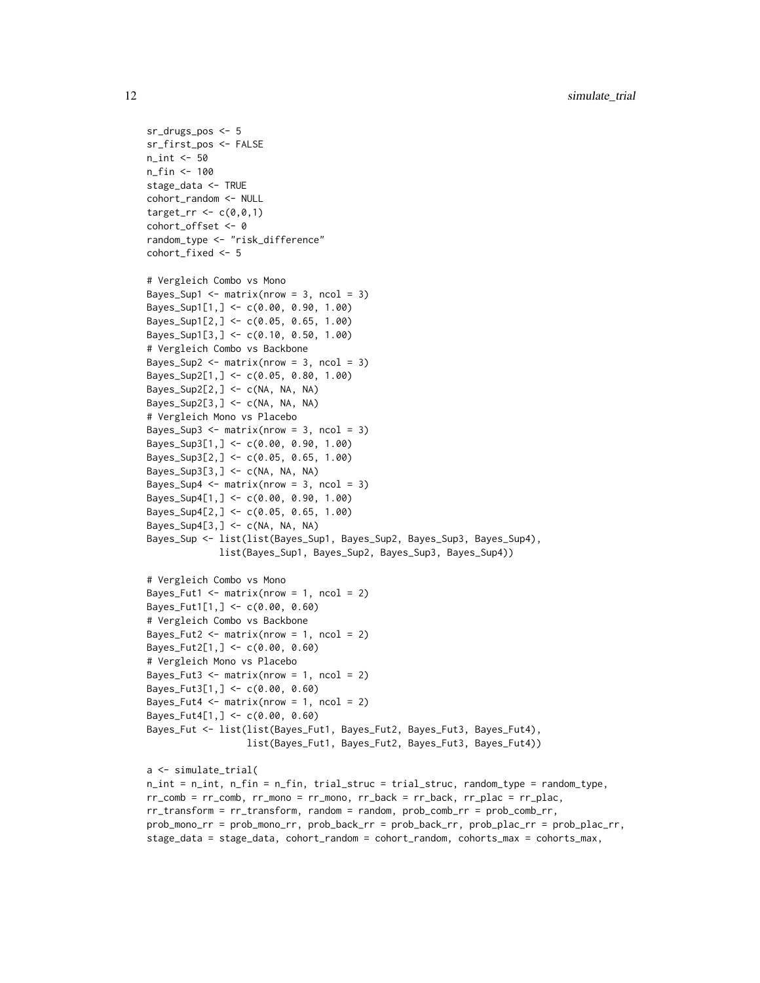```
sr_drugs_pos <- 5
sr_first_pos <- FALSE
n_int <- 50
n_fin <- 100
stage_data <- TRUE
cohort_random <- NULL
target_rr <-c(0,0,1)cohort_offset <- 0
random_type <- "risk_difference"
cohort_fixed <- 5
# Vergleich Combo vs Mono
Bayes_Sup1 <- matrix(nrow = 3, ncol = 3)
Bayes_Sup1[1,] <- c(0.00, 0.90, 1.00)
Bayes_Sup1[2,] <- c(0.05, 0.65, 1.00)
Bayes_Sup1[3,] <- c(0.10, 0.50, 1.00)
# Vergleich Combo vs Backbone
Bayes_Sup2 \leq matrix(nrow = 3, ncol = 3)
Bayes_Sup2[1,] <- c(0.05, 0.80, 1.00)
Bayes_Sup2[2,] <- c(NA, NA, NA)
Bayes_Sup2[3,] <- c(NA, NA, NA)
# Vergleich Mono vs Placebo
Bayes_Sup3 <- matrix(nrow = 3, ncol = 3)
Bayes_Sup3[1,] <- c(0.00, 0.90, 1.00)
Bayes_Sup3[2,] <- c(0.05, 0.65, 1.00)
Bayes_Sup3[3,] <- c(NA, NA, NA)
Bayes_Sup4 \leq matrix(nrow = 3, ncol = 3)
Bayes_Sup4[1,] <- c(0.00, 0.90, 1.00)
Bayes_Sup4[2,] <- c(0.05, 0.65, 1.00)
Bayes_Sup4[3,] <- c(NA, NA, NA)
Bayes_Sup <- list(list(Bayes_Sup1, Bayes_Sup2, Bayes_Sup3, Bayes_Sup4),
             list(Bayes_Sup1, Bayes_Sup2, Bayes_Sup3, Bayes_Sup4))
# Vergleich Combo vs Mono
Bayes_Fut1 \leq matrix(nrow = 1, ncol = 2)
Bayes_Fut1[1,] <- c(0.00, 0.60)
# Vergleich Combo vs Backbone
Bayes_Fut2 \leftarrow matrix(nrow = 1, ncol = 2)
Bayes_Fut2[1,] <- c(0.00, 0.60)
# Vergleich Mono vs Placebo
Bayes_Fut3 \leq matrix(nrow = 1, ncol = 2)
Bayes_Fut3[1,] <- c(0.00, 0.60)
Bayes_Fut4 \leq matrix(nrow = 1, ncol = 2)
Bayes_Fut4[1,] <- c(0.00, 0.60)
Bayes_Fut <- list(list(Bayes_Fut1, Bayes_Fut2, Bayes_Fut3, Bayes_Fut4),
                  list(Bayes_Fut1, Bayes_Fut2, Bayes_Fut3, Bayes_Fut4))
a <- simulate_trial(
n_int = n_int, n_fin = n_fin, trial_struc = trial_struc, random_type = random_type,
rr_comb = rr_comb, rr_mono = rr_mono, rr_back = rr_back, rr_plac = rr_plac,
rr_transform = rr_transform, random = random, prob_comb_rr = prob_comb_rr,
prob_mono_rr = prob_mono_rr, prob_back_rr = prob_back_rr, prob_plac_rr = prob_plac_rr,
stage_data = stage_data, cohort_random = cohort_random, cohorts_max = cohorts_max,
```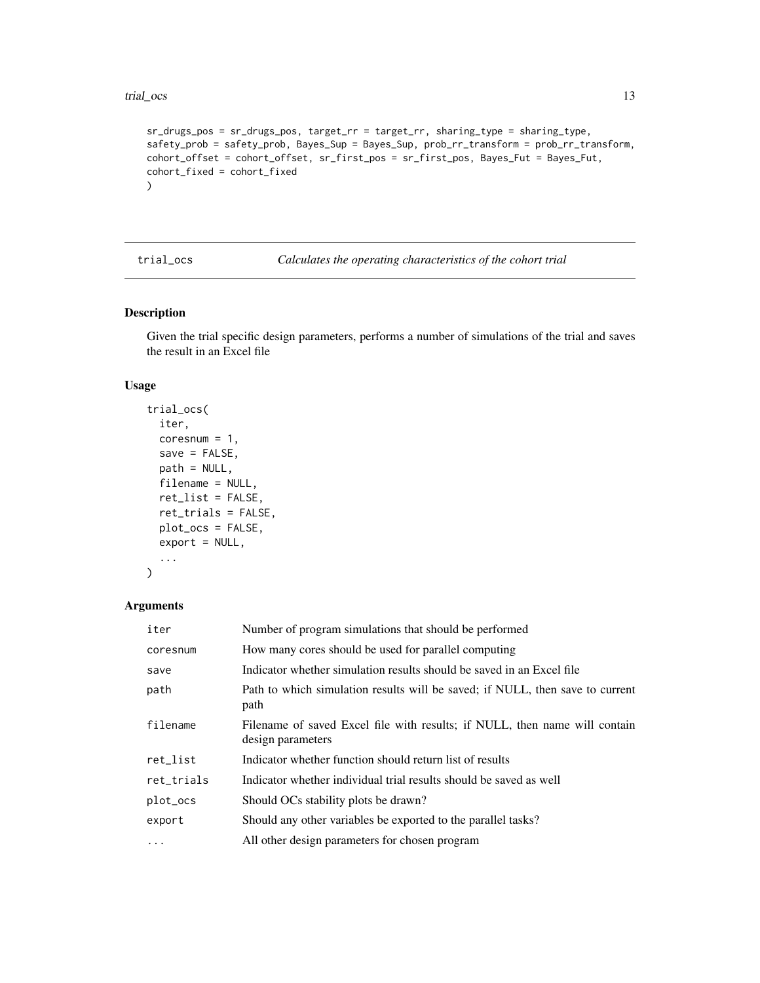```
sr_drugs_pos = sr_drugs_pos, target_rr = target_rr, sharing_type = sharing_type,
safety_prob = safety_prob, Bayes_Sup = Bayes_Sup, prob_rr_transform = prob_rr_transform,
cohort_offset = cohort_offset, sr_first_pos = sr_first_pos, Bayes_Fut = Bayes_Fut,
cohort_fixed = cohort_fixed
)
```
trial\_ocs *Calculates the operating characteristics of the cohort trial*

#### Description

Given the trial specific design parameters, performs a number of simulations of the trial and saves the result in an Excel file

#### Usage

```
trial_ocs(
  iter,
  coresnum = 1,
  save = FALSE,path = NULL,
  filename = NULL,
  ret_list = FALSE,
  ret_trials = FALSE,
 plot_ocs = FALSE,
  export = NULL,...
\mathcal{L}
```
#### Arguments

| iter       | Number of program simulations that should be performed                                          |
|------------|-------------------------------------------------------------------------------------------------|
| coresnum   | How many cores should be used for parallel computing                                            |
| save       | Indicator whether simulation results should be saved in an Excel file                           |
| path       | Path to which simulation results will be saved; if NULL, then save to current<br>path           |
| filename   | Filename of saved Excel file with results; if NULL, then name will contain<br>design parameters |
| ret_list   | Indicator whether function should return list of results                                        |
| ret_trials | Indicator whether individual trial results should be saved as well                              |
| plot_ocs   | Should OCs stability plots be drawn?                                                            |
| export     | Should any other variables be exported to the parallel tasks?                                   |
| $\ddotsc$  | All other design parameters for chosen program                                                  |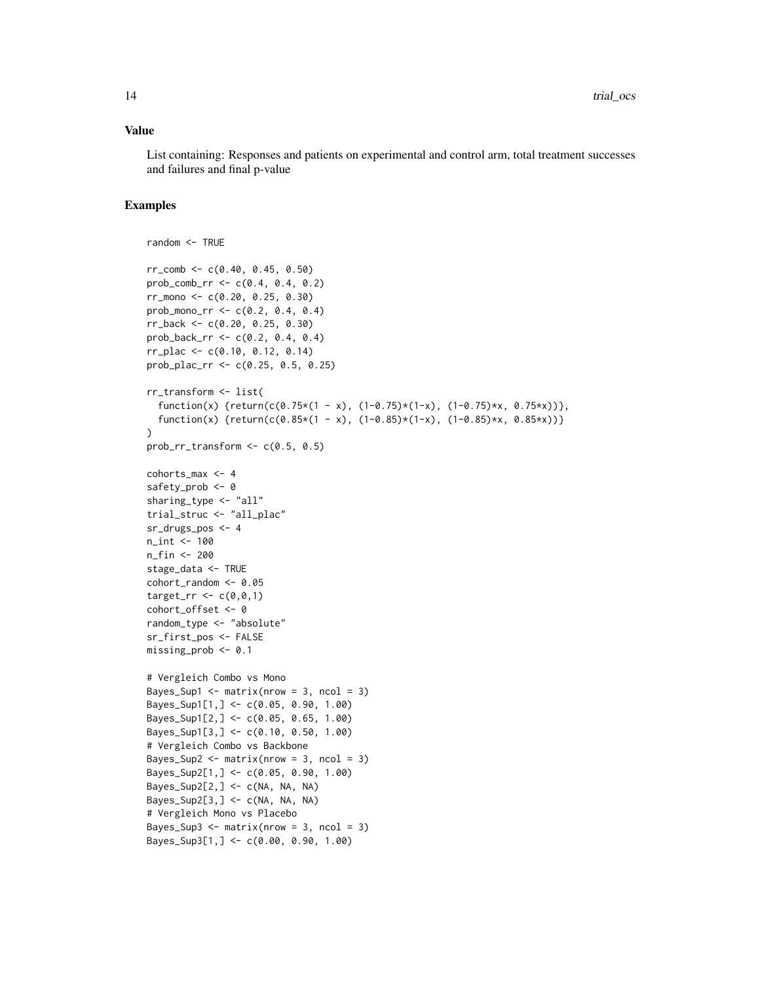#### Value

List containing: Responses and patients on experimental and control arm, total treatment successes and failures and final p-value

```
random <- TRUE
rr_{\text{comb}} <- c(0.40, 0.45, 0.50)
prob_comb_rr <- c(0.4, 0.4, 0.2)
rr_mono <- c(0.20, 0.25, 0.30)
prob_mono_rr <- c(0.2, 0.4, 0.4)
rr_back <- c(0.20, 0.25, 0.30)
prob_back_rr <- c(0.2, 0.4, 0.4)
rr_plac <- c(0.10, 0.12, 0.14)
prob_plac_rr <- c(0.25, 0.5, 0.25)
rr_transform <- list(
  function(x) {return(c(0.75*(1 - x), (1-0.75)*(1-x), (1-0.75)*x, 0.75*x)},
  function(x) {return(c(0.85*(1 - x), (1-0.85)*(1-x), (1-0.85)*x, 0.85*x))}
)
prob_rr_transform \leq c(0.5, 0.5)cohorts_max <- 4
safety_prob <- 0
sharing_type <- "all"
trial_struc <- "all_plac"
sr_drugs_pos <- 4
n_int <- 100
n_fin <- 200
stage_data <- TRUE
cohort_random <- 0.05
target_{rr} < -c(0, 0, 1)cohort_offset <- 0
random_type <- "absolute"
sr_first_pos <- FALSE
missing_prob <- 0.1
# Vergleich Combo vs Mono
Bayes_Sup1 <- matrix(nrow = 3, ncol = 3)
Bayes_Sup1[1,] <- c(0.05, 0.90, 1.00)
Bayes_Sup1[2,] <- c(0.05, 0.65, 1.00)
Bayes_Sup1[3,] <- c(0.10, 0.50, 1.00)
# Vergleich Combo vs Backbone
Bayes_Sup2 <- matrix(nrow = 3, ncol = 3)Bayes_Sup2[1,] <- c(0.05, 0.90, 1.00)
Bayes_Sup2[2,] <- c(NA, NA, NA)
Bayes_Sup2[3,] <- c(NA, NA, NA)
# Vergleich Mono vs Placebo
Bayes_Sup3 \leq matrix(nrow = 3, ncol = 3)
Bayes_Sup3[1,] <- c(0.00, 0.90, 1.00)
```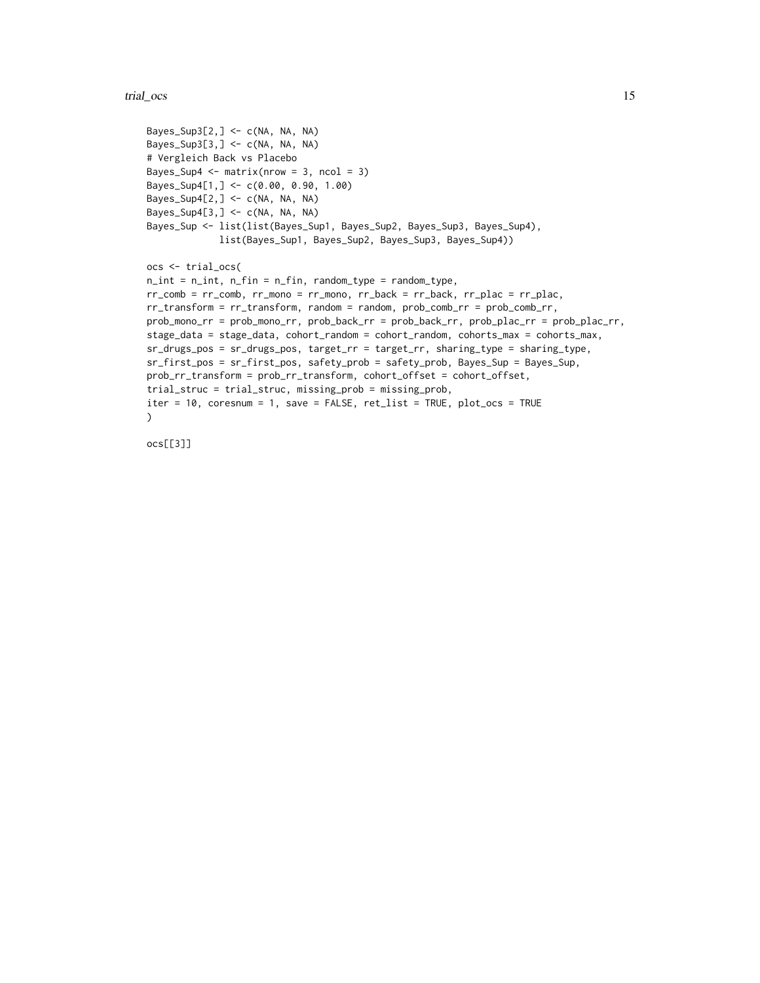#### trial\_ocs 15

```
Bayes_Sup3[2,] <- c(NA, NA, NA)
Bayes_Sup3[3,] <- c(NA, NA, NA)
# Vergleich Back vs Placebo
Bayes_Sup4 \leq matrix(nrow = 3, ncol = 3)
Bayes_Sup4[1,] <- c(0.00, 0.90, 1.00)
Bayes_Sup4[2,] <- c(NA, NA, NA)Bayes_Sup4[3,] \leq c(NA, NA, NA)
Bayes_Sup <- list(list(Bayes_Sup1, Bayes_Sup2, Bayes_Sup3, Bayes_Sup4),
             list(Bayes_Sup1, Bayes_Sup2, Bayes_Sup3, Bayes_Sup4))
ocs <- trial_ocs(
n_int = n_int, n_fin = n_fin, random_type = random_type,
rr\_comb = rr\_comb, rr\_mono = rr\_mono, rr\_back = rr\_back, rr\_black = rr\_place,
rr_transform = rr_transform, random = random, prob_comb_rr = prob_comb_rr,
prob_mono_rr = prob_mono_rr, prob_back_rr = prob_back_rr, prob_plac_rr = prob_plac_rr,
stage_data = stage_data, cohort_random = cohort_random, cohorts_max = cohorts_max,
sr_drugs_pos = sr_drugs_pos, target_rr = target_rr, sharing_type = sharing_type,
sr_first_pos = sr_first_pos, safety_prob = safety_prob, Bayes_Sup = Bayes_Sup,
prob_rr_transform = prob_rr_transform, cohort_offset = cohort_offset,
trial_struc = trial_struc, missing_prob = missing_prob,
iter = 10, coresnum = 1, save = FALSE, ret_list = TRUE, plot_ocs = TRUE
\lambda
```
ocs[[3]]